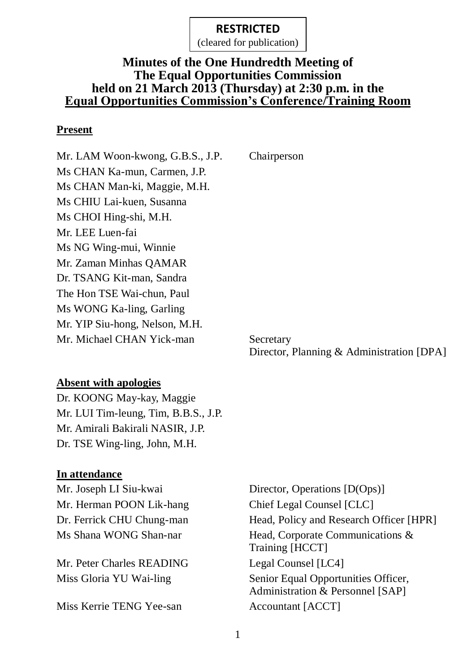(cleared for publication)

### **Minutes of the One Hundredth Meeting of The Equal Opportunities Commission held on 21 March 2013 (Thursday) at 2:30 p.m. in the Equal Opportunities Commission's Conference/Training Room**

#### **Present**

Mr. LAM Woon-kwong, G.B.S., J.P. Chairperson Ms CHAN Ka-mun, Carmen, J.P. Ms CHAN Man-ki, Maggie, M.H. Ms CHIU Lai-kuen, Susanna Ms CHOI Hing-shi, M.H. Mr. LEE Luen-fai Ms NG Wing-mui, Winnie Mr. Zaman Minhas QAMAR Dr. TSANG Kit-man, Sandra The Hon TSE Wai-chun, Paul Ms WONG Ka-ling, Garling Mr. YIP Siu-hong, Nelson, M.H. Mr. Michael CHAN Yick-man Secretary

Director, Planning & Administration [DPA]

#### **Absent with apologies**

Dr. KOONG May-kay, Maggie Mr. LUI Tim-leung, Tim, B.B.S., J.P. Mr. Amirali Bakirali NASIR, J.P. Dr. TSE Wing-ling, John, M.H.

#### **In attendance**

Mr. Herman POON Lik-hang Chief Legal Counsel [CLC]

Mr. Peter Charles READING Legal Counsel [LC4]

Miss Kerrie TENG Yee-san Accountant [ACCT]

Mr. Joseph LI Siu-kwai Director, Operations [D(Ops)] Dr. Ferrick CHU Chung-man Head, Policy and Research Officer [HPR] Ms Shana WONG Shan-nar Head, Corporate Communications & Training [HCCT] Miss Gloria YU Wai-ling Senior Equal Opportunities Officer, Administration & Personnel [SAP]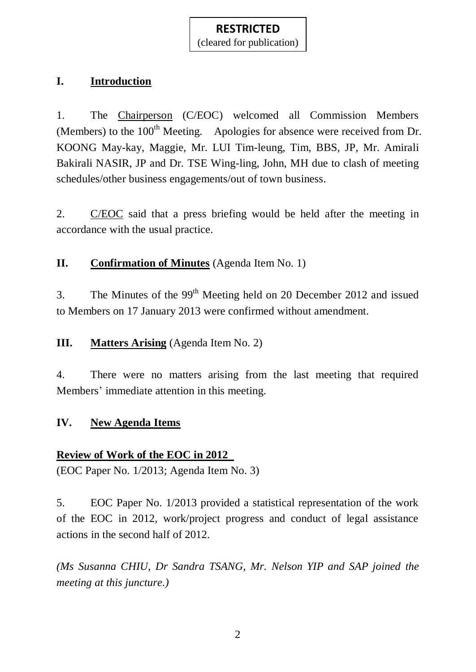(cleared for publication)

# **I. Introduction**

1. The Chairperson (C/EOC) welcomed all Commission Members (Members) to the  $100<sup>th</sup>$  Meeting. Apologies for absence were received from Dr. KOONG May-kay, Maggie, Mr. LUI Tim-leung, Tim, BBS, JP, Mr. Amirali Bakirali NASIR, JP and Dr. TSE Wing-ling, John, MH due to clash of meeting schedules/other business engagements/out of town business.

2. C/EOC said that a press briefing would be held after the meeting in accordance with the usual practice.

**II. Confirmation of Minutes** (Agenda Item No. 1)

3. The Minutes of the  $99<sup>th</sup>$  Meeting held on 20 December 2012 and issued to Members on 17 January 2013 were confirmed without amendment.

# **III. Matters Arising** (Agenda Item No. 2)

4. There were no matters arising from the last meeting that required Members' immediate attention in this meeting.

#### **IV. New Agenda Items**

#### **Review of Work of the EOC in 2012**

(EOC Paper No. 1/2013; Agenda Item No. 3)

5. EOC Paper No. 1/2013 provided a statistical representation of the work of the EOC in 2012, work/project progress and conduct of legal assistance actions in the second half of 2012.

*(Ms Susanna CHIU, Dr Sandra TSANG, Mr. Nelson YIP and SAP joined the meeting at this juncture.)*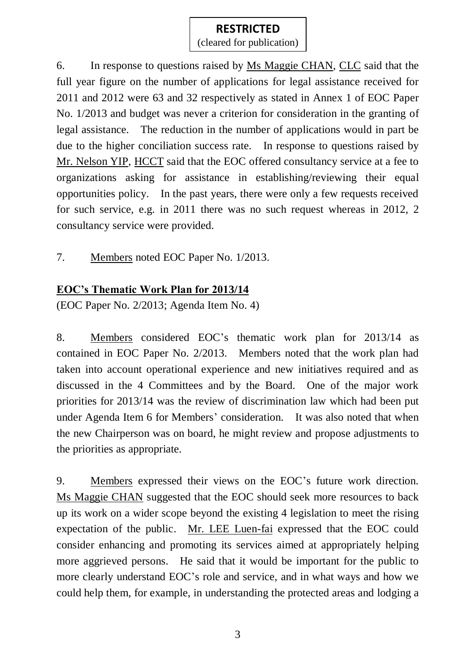(cleared for publication)

6. In response to questions raised by Ms Maggie CHAN, CLC said that the full year figure on the number of applications for legal assistance received for 2011 and 2012 were 63 and 32 respectively as stated in Annex 1 of EOC Paper No. 1/2013 and budget was never a criterion for consideration in the granting of legal assistance. The reduction in the number of applications would in part be due to the higher conciliation success rate. In response to questions raised by Mr. Nelson YIP, HCCT said that the EOC offered consultancy service at a fee to organizations asking for assistance in establishing/reviewing their equal opportunities policy. In the past years, there were only a few requests received for such service, e.g. in 2011 there was no such request whereas in 2012, 2 consultancy service were provided.

7. Members noted EOC Paper No. 1/2013.

# **EOC's Thematic Work Plan for 2013/14**

(EOC Paper No. 2/2013; Agenda Item No. 4)

8. Members considered EOC's thematic work plan for 2013/14 as contained in EOC Paper No. 2/2013. Members noted that the work plan had taken into account operational experience and new initiatives required and as discussed in the 4 Committees and by the Board. One of the major work priorities for 2013/14 was the review of discrimination law which had been put under Agenda Item 6 for Members' consideration. It was also noted that when the new Chairperson was on board, he might review and propose adjustments to the priorities as appropriate.

9. Members expressed their views on the EOC's future work direction. Ms Maggie CHAN suggested that the EOC should seek more resources to back up its work on a wider scope beyond the existing 4 legislation to meet the rising expectation of the public. Mr. LEE Luen-fai expressed that the EOC could consider enhancing and promoting its services aimed at appropriately helping more aggrieved persons. He said that it would be important for the public to more clearly understand EOC's role and service, and in what ways and how we could help them, for example, in understanding the protected areas and lodging a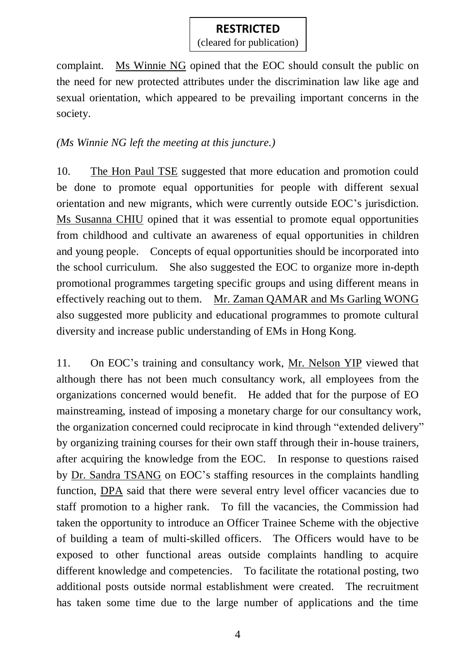(cleared for publication)

complaint. Ms Winnie NG opined that the EOC should consult the public on the need for new protected attributes under the discrimination law like age and sexual orientation, which appeared to be prevailing important concerns in the society.

#### *(Ms Winnie NG left the meeting at this juncture.)*

10. The Hon Paul TSE suggested that more education and promotion could be done to promote equal opportunities for people with different sexual orientation and new migrants, which were currently outside EOC's jurisdiction. Ms Susanna CHIU opined that it was essential to promote equal opportunities from childhood and cultivate an awareness of equal opportunities in children and young people. Concepts of equal opportunities should be incorporated into the school curriculum. She also suggested the EOC to organize more in-depth promotional programmes targeting specific groups and using different means in effectively reaching out to them. Mr. Zaman QAMAR and Ms Garling WONG also suggested more publicity and educational programmes to promote cultural diversity and increase public understanding of EMs in Hong Kong.

11. On EOC's training and consultancy work, Mr. Nelson YIP viewed that although there has not been much consultancy work, all employees from the organizations concerned would benefit. He added that for the purpose of EO mainstreaming, instead of imposing a monetary charge for our consultancy work, the organization concerned could reciprocate in kind through "extended delivery" by organizing training courses for their own staff through their in-house trainers, after acquiring the knowledge from the EOC. In response to questions raised by Dr. Sandra TSANG on EOC's staffing resources in the complaints handling function, DPA said that there were several entry level officer vacancies due to staff promotion to a higher rank. To fill the vacancies, the Commission had taken the opportunity to introduce an Officer Trainee Scheme with the objective of building a team of multi-skilled officers. The Officers would have to be exposed to other functional areas outside complaints handling to acquire different knowledge and competencies. To facilitate the rotational posting, two additional posts outside normal establishment were created. The recruitment has taken some time due to the large number of applications and the time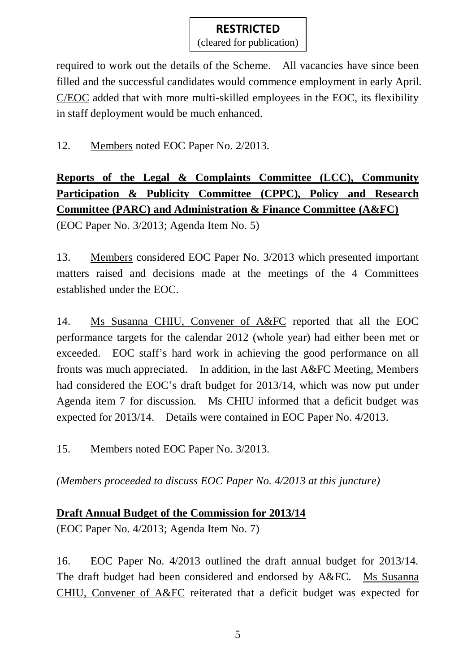(cleared for publication)

required to work out the details of the Scheme. All vacancies have since been filled and the successful candidates would commence employment in early April. C/EOC added that with more multi-skilled employees in the EOC, its flexibility in staff deployment would be much enhanced.

## 12. Members noted EOC Paper No. 2/2013.

# **Reports of the Legal & Complaints Committee (LCC), Community Participation & Publicity Committee (CPPC), Policy and Research Committee (PARC) and Administration & Finance Committee (A&FC)**

(EOC Paper No. 3/2013; Agenda Item No. 5)

13. Members considered EOC Paper No. 3/2013 which presented important matters raised and decisions made at the meetings of the 4 Committees established under the EOC.

14. Ms Susanna CHIU, Convener of A&FC reported that all the EOC performance targets for the calendar 2012 (whole year) had either been met or exceeded. EOC staff's hard work in achieving the good performance on all fronts was much appreciated. In addition, in the last A&FC Meeting, Members had considered the EOC's draft budget for 2013/14, which was now put under Agenda item 7 for discussion. Ms CHIU informed that a deficit budget was expected for 2013/14. Details were contained in EOC Paper No. 4/2013.

15. Members noted EOC Paper No. 3/2013.

*(Members proceeded to discuss EOC Paper No. 4/2013 at this juncture)*

# **Draft Annual Budget of the Commission for 2013/14**

(EOC Paper No. 4/2013; Agenda Item No. 7)

16. EOC Paper No. 4/2013 outlined the draft annual budget for 2013/14. The draft budget had been considered and endorsed by A&FC. Ms Susanna CHIU, Convener of A&FC reiterated that a deficit budget was expected for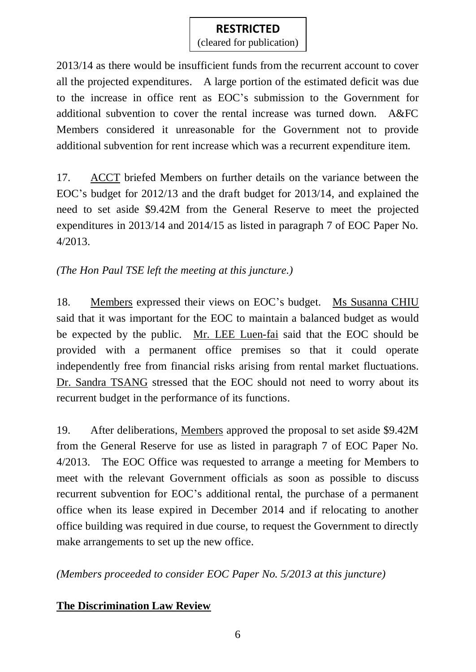(cleared for publication)

2013/14 as there would be insufficient funds from the recurrent account to cover all the projected expenditures. A large portion of the estimated deficit was due to the increase in office rent as EOC's submission to the Government for additional subvention to cover the rental increase was turned down. A&FC Members considered it unreasonable for the Government not to provide additional subvention for rent increase which was a recurrent expenditure item.

17. ACCT briefed Members on further details on the variance between the EOC's budget for 2012/13 and the draft budget for 2013/14, and explained the need to set aside \$9.42M from the General Reserve to meet the projected expenditures in 2013/14 and 2014/15 as listed in paragraph 7 of EOC Paper No. 4/2013.

*(The Hon Paul TSE left the meeting at this juncture.)*

18. Members expressed their views on EOC's budget. Ms Susanna CHIU said that it was important for the EOC to maintain a balanced budget as would be expected by the public. Mr. LEE Luen-fai said that the EOC should be provided with a permanent office premises so that it could operate independently free from financial risks arising from rental market fluctuations. Dr. Sandra TSANG stressed that the EOC should not need to worry about its recurrent budget in the performance of its functions.

19. After deliberations, Members approved the proposal to set aside \$9.42M from the General Reserve for use as listed in paragraph 7 of EOC Paper No. 4/2013. The EOC Office was requested to arrange a meeting for Members to meet with the relevant Government officials as soon as possible to discuss recurrent subvention for EOC's additional rental, the purchase of a permanent office when its lease expired in December 2014 and if relocating to another office building was required in due course, to request the Government to directly make arrangements to set up the new office.

*(Members proceeded to consider EOC Paper No. 5/2013 at this juncture)*

#### **The Discrimination Law Review**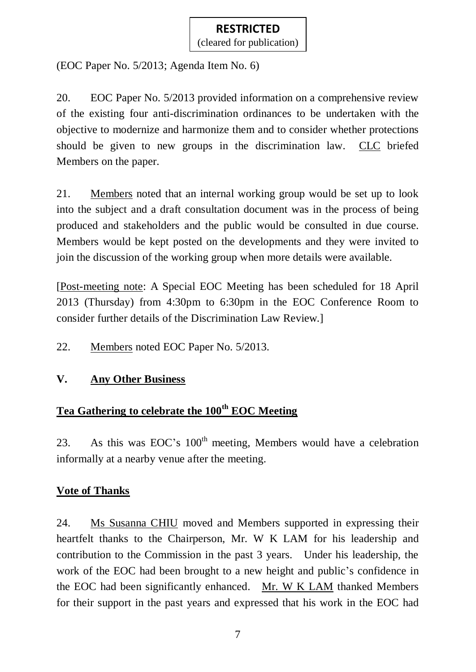(cleared for publication)

(EOC Paper No. 5/2013; Agenda Item No. 6)

20. EOC Paper No. 5/2013 provided information on a comprehensive review of the existing four anti-discrimination ordinances to be undertaken with the objective to modernize and harmonize them and to consider whether protections should be given to new groups in the discrimination law. CLC briefed Members on the paper.

21. Members noted that an internal working group would be set up to look into the subject and a draft consultation document was in the process of being produced and stakeholders and the public would be consulted in due course. Members would be kept posted on the developments and they were invited to join the discussion of the working group when more details were available.

[Post-meeting note: A Special EOC Meeting has been scheduled for 18 April 2013 (Thursday) from 4:30pm to 6:30pm in the EOC Conference Room to consider further details of the Discrimination Law Review.]

22. Members noted EOC Paper No. 5/2013.

#### **V. Any Other Business**

# **Tea Gathering to celebrate the 100th EOC Meeting**

23. As this was  $EOC's 100<sup>th</sup>$  meeting, Members would have a celebration informally at a nearby venue after the meeting.

#### **Vote of Thanks**

24. Ms Susanna CHIU moved and Members supported in expressing their heartfelt thanks to the Chairperson, Mr. W K LAM for his leadership and contribution to the Commission in the past 3 years. Under his leadership, the work of the EOC had been brought to a new height and public's confidence in the EOC had been significantly enhanced. Mr. W K LAM thanked Members for their support in the past years and expressed that his work in the EOC had